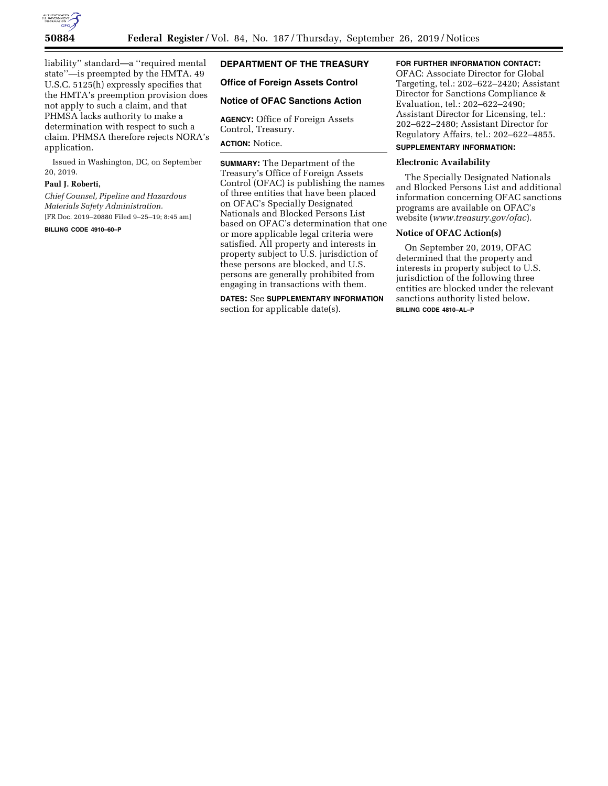

liability'' standard—a ''required mental state''—is preempted by the HMTA. 49 U.S.C. 5125(h) expressly specifies that the HMTA's preemption provision does not apply to such a claim, and that PHMSA lacks authority to make a determination with respect to such a claim. PHMSA therefore rejects NORA's application.

Issued in Washington, DC, on September 20, 2019.

#### **Paul J. Roberti,**

*Chief Counsel, Pipeline and Hazardous Materials Safety Administration.*  [FR Doc. 2019–20880 Filed 9–25–19; 8:45 am]

**BILLING CODE 4910–60–P** 

# **DEPARTMENT OF THE TREASURY**

#### **Office of Foreign Assets Control**

#### **Notice of OFAC Sanctions Action**

**AGENCY:** Office of Foreign Assets Control, Treasury.

#### **ACTION:** Notice.

**SUMMARY:** The Department of the Treasury's Office of Foreign Assets Control (OFAC) is publishing the names of three entities that have been placed on OFAC's Specially Designated Nationals and Blocked Persons List based on OFAC's determination that one or more applicable legal criteria were satisfied. All property and interests in property subject to U.S. jurisdiction of these persons are blocked, and U.S. persons are generally prohibited from engaging in transactions with them.

**DATES:** See **SUPPLEMENTARY INFORMATION** section for applicable date(s).

## **FOR FURTHER INFORMATION CONTACT:**

OFAC: Associate Director for Global Targeting, tel.: 202–622–2420; Assistant Director for Sanctions Compliance & Evaluation, tel.: 202–622–2490; Assistant Director for Licensing, tel.: 202–622–2480; Assistant Director for Regulatory Affairs, tel.: 202–622–4855.

# **SUPPLEMENTARY INFORMATION:**

# **Electronic Availability**

The Specially Designated Nationals and Blocked Persons List and additional information concerning OFAC sanctions programs are available on OFAC's website (*[www.treasury.gov/ofac](http://www.treasury.gov/ofac)*).

## **Notice of OFAC Action(s)**

On September 20, 2019, OFAC determined that the property and interests in property subject to U.S. jurisdiction of the following three entities are blocked under the relevant sanctions authority listed below. **BILLING CODE 4810–AL–P**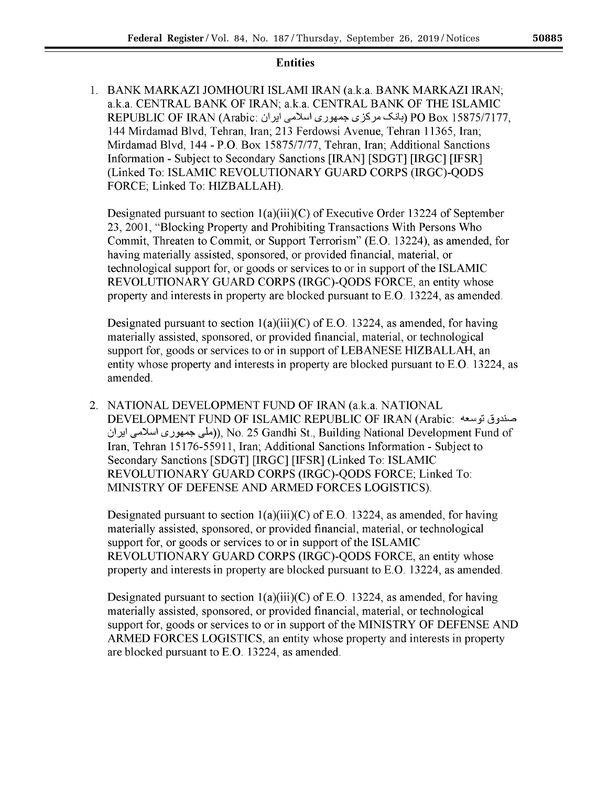# **Entities**

1. BANK MARKAZI JOMHOURI ISLAMI IRAN (a.k.a. BANK MARKAZI IRAN; a.k.a. CENTRAL BANK OF IRAN; a.k.a. CENTRAL BANK OF THE ISLAMIC REPUBLIC OF IRAN (Arabic: بانک مرکز ی جمهوری اسلامی ایران) PO Box 15875/7177. 144 Mirdamad Blvd, Tehran, Iran; 213 Ferdowsi Avenue, Tehran 11365, Iran; Mirdamad Blvd, 144 - P.O. Box 15875/7/77, Tehran, Iran; Additional Sanctions Information - Subject to Secondary Sanctions [IRAN] [SDGT] [IRGC] [IFSR] (Linked To: ISLAMIC REVOLUTIONARY GUARD CORPS (IRGC)-QODS FORCE; Linked To: HIZBALLAH).

Designated pursuant to section  $1(a)(iii)(C)$  of Executive Order 13224 of September 23, 2001, "Blocking Property and Prohibiting Transactions With Persons Who Commit, Threaten to Commit, or Support Terrorism" (E.O. 13224), as amended, for having materially assisted, sponsored, or provided financial, material, or technological support for, or goods or services to or in support of the ISLAMIC REVOLUTIONARY GUARD CORPS (IRGC)-QODS FORCE, an entity whose property and interests in property are blocked pursuant to E.O. 13224, as amended.

Designated pursuant to section  $1(a)(iii)(C)$  of E.O. 13224, as amended, for having materially assisted, sponsored, or provided financial, material, or technological support for, goods or services to or in support of LEBANESE HIZBALLAH, an entity whose property and interests in property are blocked pursuant to E.O. 13224, as amended.

2. NATIONAL DEVELOPMENT FUND OF IRAN (a.k.a. NATIONAL DEVELOPMENT FUND OF ISLAMIC REPUBLIC OF IRAN (Arabic: صندوق توسعه ((ملَّى جمهوري اسلامي ايران), No. 25 Gandhi St., Building National Development Fund of Iran, Tehran 15176-55911, Iran; Additional Sanctions Information - Subject to Secondary Sanctions [SDGT] [IRGC] [IFSR] (Linked To: ISLAMIC REVOLUTIONARY GUARD CORPS (IRGC)-QODS FORCE; Linked To: MINISTRY OF DEFENSE AND ARMED FORCES LOGISTICS).

Designated pursuant to section  $1(a)(iii)(C)$  of E.O. 13224, as amended, for having materially assisted, sponsored, or provided financial, material, or technological support for, or goods or services to or in support of the ISLAMIC REVOLUTIONARY GUARD CORPS (IRGC)-QODS FORCE, an entity whose property and interests in property are blocked pursuant to E.O. 13224, as amended.

Designated pursuant to section  $1(a)(iii)(C)$  of E.O. 13224, as amended, for having materially assisted, sponsored, or provided financial, material, or technological support for, goods or services to or in support of the MINISTRY OF DEFENSE AND ARMED FORCES LOGISTICS, an entity whose property and interests in property are blocked pursuant to E.O. 13224, as amended.